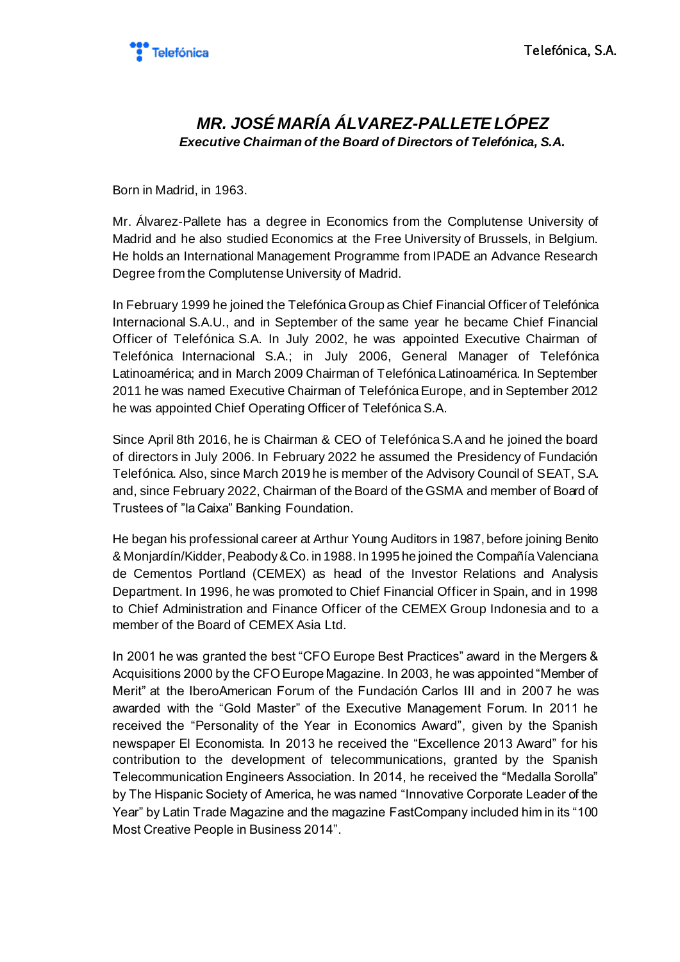

## *MR. JOSÉ MARÍA ÁLVAREZ-PALLETE LÓPEZ Executive Chairman of the Board of Directors of Telefónica, S.A.*

Born in Madrid, in 1963.

Mr. Álvarez-Pallete has a degree in Economics from the Complutense University of Madrid and he also studied Economics at the Free University of Brussels, in Belgium. He holds an International Management Programme from IPADE an Advance Research Degree from the Complutense University of Madrid.

In February 1999 he joined the Telefónica Group as Chief Financial Officer of Telefónica Internacional S.A.U., and in September of the same year he became Chief Financial Officer of Telefónica S.A. In July 2002, he was appointed Executive Chairman of Telefónica Internacional S.A.; in July 2006, General Manager of Telefónica Latinoamérica; and in March 2009 Chairman of Telefónica Latinoamérica. In September 2011 he was named Executive Chairman of Telefónica Europe, and in September 2012 he was appointed Chief Operating Officer of Telefónica S.A.

Since April 8th 2016, he is Chairman & CEO of Telefónica S.A and he joined the board of directors in July 2006. In February 2022 he assumed the Presidency of Fundación Telefónica. Also, since March 2019 he is member of the Advisory Council of SEAT, S.A. and, since February 2022, Chairman of the Board of the GSMA and member of Board of Trustees of "la Caixa" Banking Foundation.

He began his professional career at Arthur Young Auditors in 1987, before joining Benito & Monjardín/Kidder, Peabody & Co. in 1988. In 1995 he joined the Compañía Valenciana de Cementos Portland (CEMEX) as head of the Investor Relations and Analysis Department. In 1996, he was promoted to Chief Financial Officer in Spain, and in 1998 to Chief Administration and Finance Officer of the CEMEX Group Indonesia and to a member of the Board of CEMEX Asia Ltd.

In 2001 he was granted the best "CFO Europe Best Practices" award in the Mergers & Acquisitions 2000 by the CFO Europe Magazine. In 2003, he was appointed "Member of Merit" at the IberoAmerican Forum of the Fundación Carlos III and in 2007 he was awarded with the "Gold Master" of the Executive Management Forum. In 2011 he received the "Personality of the Year in Economics Award", given by the Spanish newspaper El Economista. In 2013 he received the "Excellence 2013 Award" for his contribution to the development of telecommunications, granted by the Spanish Telecommunication Engineers Association. In 2014, he received the "Medalla Sorolla" by The Hispanic Society of America, he was named "Innovative Corporate Leader of the Year" by Latin Trade Magazine and the magazine FastCompany included him in its "100 Most Creative People in Business 2014".